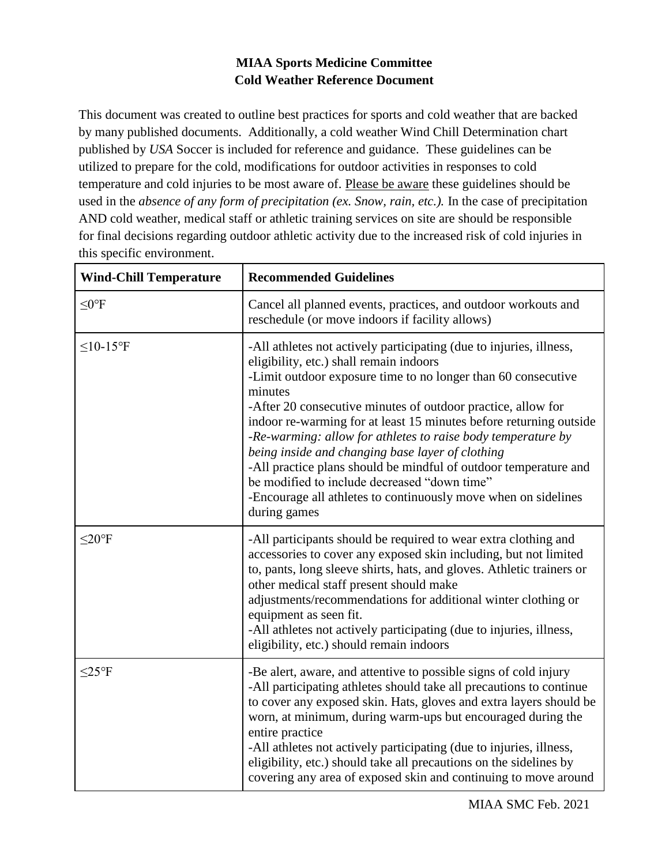# **MIAA Sports Medicine Committee Cold Weather Reference Document**

This document was created to outline best practices for sports and cold weather that are backed by many published documents. Additionally, a cold weather Wind Chill Determination chart published by *USA* Soccer is included for reference and guidance. These guidelines can be utilized to prepare for the cold, modifications for outdoor activities in responses to cold temperature and cold injuries to be most aware of. Please be aware these guidelines should be used in the *absence of any form of precipitation (ex. Snow, rain, etc.).* In the case of precipitation AND cold weather, medical staff or athletic training services on site are should be responsible for final decisions regarding outdoor athletic activity due to the increased risk of cold injuries in this specific environment.

| <b>Wind-Chill Temperature</b> | <b>Recommended Guidelines</b>                                                                                                                                                                                                                                                                                                                                                                                                                                                                                                                                                                                                                              |
|-------------------------------|------------------------------------------------------------------------------------------------------------------------------------------------------------------------------------------------------------------------------------------------------------------------------------------------------------------------------------------------------------------------------------------------------------------------------------------------------------------------------------------------------------------------------------------------------------------------------------------------------------------------------------------------------------|
| $\leq$ 0°F                    | Cancel all planned events, practices, and outdoor workouts and<br>reschedule (or move indoors if facility allows)                                                                                                                                                                                                                                                                                                                                                                                                                                                                                                                                          |
| $≤10-15$ °F                   | -All athletes not actively participating (due to injuries, illness,<br>eligibility, etc.) shall remain indoors<br>-Limit outdoor exposure time to no longer than 60 consecutive<br>minutes<br>-After 20 consecutive minutes of outdoor practice, allow for<br>indoor re-warming for at least 15 minutes before returning outside<br>-Re-warming: allow for athletes to raise body temperature by<br>being inside and changing base layer of clothing<br>-All practice plans should be mindful of outdoor temperature and<br>be modified to include decreased "down time"<br>-Encourage all athletes to continuously move when on sidelines<br>during games |
| $\leq$ 20°F                   | -All participants should be required to wear extra clothing and<br>accessories to cover any exposed skin including, but not limited<br>to, pants, long sleeve shirts, hats, and gloves. Athletic trainers or<br>other medical staff present should make<br>adjustments/recommendations for additional winter clothing or<br>equipment as seen fit.<br>-All athletes not actively participating (due to injuries, illness,<br>eligibility, etc.) should remain indoors                                                                                                                                                                                      |
| $<$ 25°F                      | -Be alert, aware, and attentive to possible signs of cold injury<br>-All participating athletes should take all precautions to continue<br>to cover any exposed skin. Hats, gloves and extra layers should be<br>worn, at minimum, during warm-ups but encouraged during the<br>entire practice<br>-All athletes not actively participating (due to injuries, illness,<br>eligibility, etc.) should take all precautions on the sidelines by<br>covering any area of exposed skin and continuing to move around                                                                                                                                            |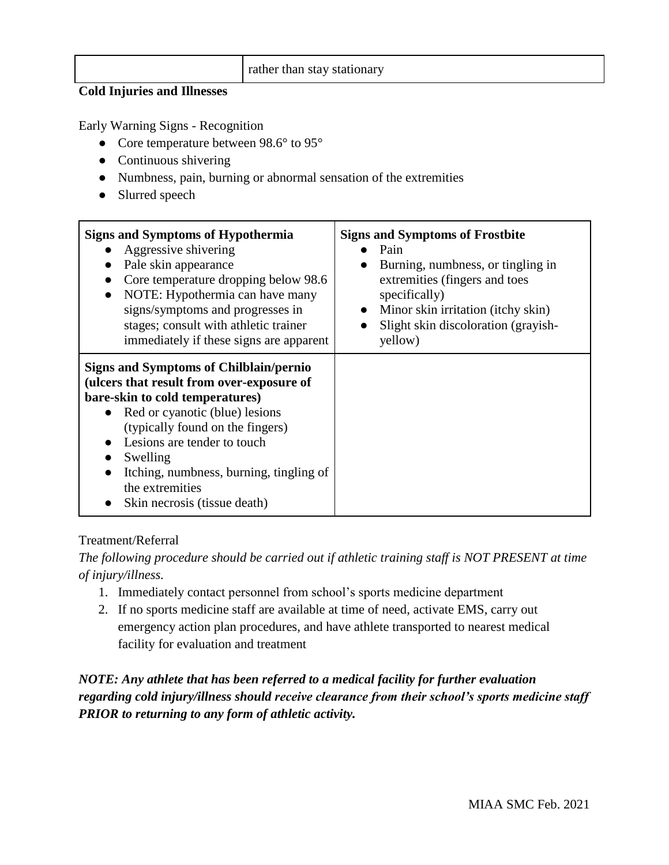| rather than stay stationary |  |  |
|-----------------------------|--|--|
|-----------------------------|--|--|

## **Cold Injuries and Illnesses**

Early Warning Signs - Recognition

- Core temperature between 98.6° to 95°
- Continuous shivering
- Numbness, pain, burning or abnormal sensation of the extremities
- Slurred speech

| <b>Signs and Symptoms of Hypothermia</b><br>Aggressive shivering<br>Pale skin appearance<br>Core temperature dropping below 98.6<br>NOTE: Hypothermia can have many<br>$\bullet$<br>signs/symptoms and progresses in<br>stages; consult with athletic trainer<br>immediately if these signs are apparent                                                               | <b>Signs and Symptoms of Frostbite</b><br>Pain<br>Burning, numbness, or tingling in<br>extremities (fingers and toes<br>specifically)<br>Minor skin irritation (itchy skin)<br>$\bullet$<br>Slight skin discoloration (grayish-<br>$\bullet$<br>yellow) |
|------------------------------------------------------------------------------------------------------------------------------------------------------------------------------------------------------------------------------------------------------------------------------------------------------------------------------------------------------------------------|---------------------------------------------------------------------------------------------------------------------------------------------------------------------------------------------------------------------------------------------------------|
| <b>Signs and Symptoms of Chilblain/pernio</b><br>(ulcers that result from over-exposure of<br>bare-skin to cold temperatures)<br>Red or cyanotic (blue) lesions<br>$\bullet$<br>(typically found on the fingers)<br>Lesions are tender to touch<br>Swelling<br>Itching, numbness, burning, tingling of<br>$\bullet$<br>the extremities<br>Skin necrosis (tissue death) |                                                                                                                                                                                                                                                         |

## Treatment/Referral

*The following procedure should be carried out if athletic training staff is NOT PRESENT at time of injury/illness.* 

- 1. Immediately contact personnel from school's sports medicine department
- 2. If no sports medicine staff are available at time of need, activate EMS, carry out emergency action plan procedures, and have athlete transported to nearest medical facility for evaluation and treatment

*NOTE: Any athlete that has been referred to a medical facility for further evaluation regarding cold injury/illness should receive clearance from their school's sports medicine staff PRIOR to returning to any form of athletic activity.*